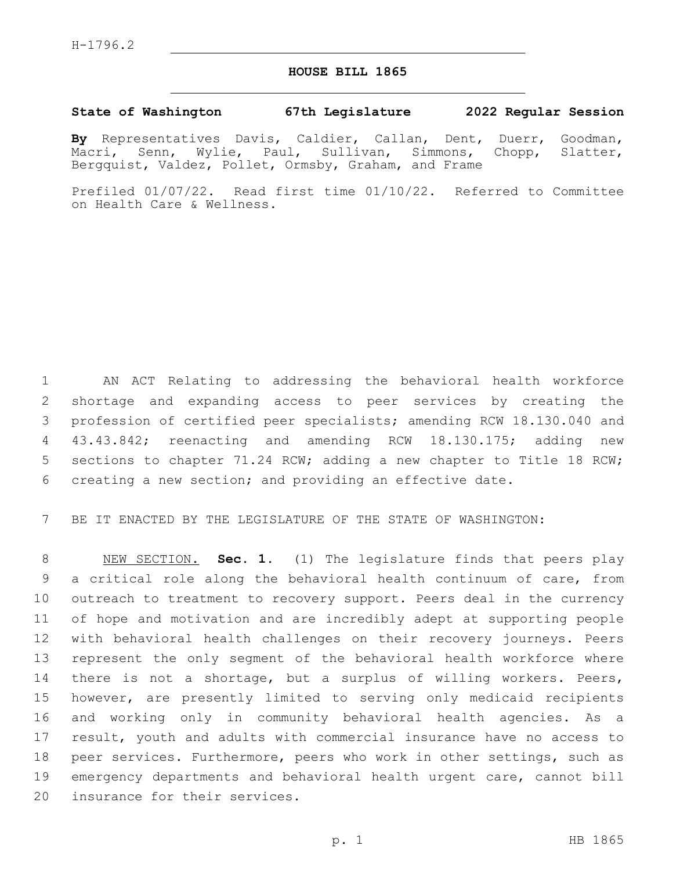## **HOUSE BILL 1865**

## **State of Washington 67th Legislature 2022 Regular Session**

**By** Representatives Davis, Caldier, Callan, Dent, Duerr, Goodman, Macri, Senn, Wylie, Paul, Sullivan, Simmons, Chopp, Slatter, Bergquist, Valdez, Pollet, Ormsby, Graham, and Frame

Prefiled 01/07/22. Read first time 01/10/22. Referred to Committee on Health Care & Wellness.

 AN ACT Relating to addressing the behavioral health workforce shortage and expanding access to peer services by creating the profession of certified peer specialists; amending RCW 18.130.040 and 43.43.842; reenacting and amending RCW 18.130.175; adding new sections to chapter 71.24 RCW; adding a new chapter to Title 18 RCW; creating a new section; and providing an effective date.

BE IT ENACTED BY THE LEGISLATURE OF THE STATE OF WASHINGTON:

 NEW SECTION. **Sec. 1.** (1) The legislature finds that peers play a critical role along the behavioral health continuum of care, from outreach to treatment to recovery support. Peers deal in the currency of hope and motivation and are incredibly adept at supporting people with behavioral health challenges on their recovery journeys. Peers represent the only segment of the behavioral health workforce where 14 there is not a shortage, but a surplus of willing workers. Peers, however, are presently limited to serving only medicaid recipients and working only in community behavioral health agencies. As a result, youth and adults with commercial insurance have no access to peer services. Furthermore, peers who work in other settings, such as emergency departments and behavioral health urgent care, cannot bill insurance for their services.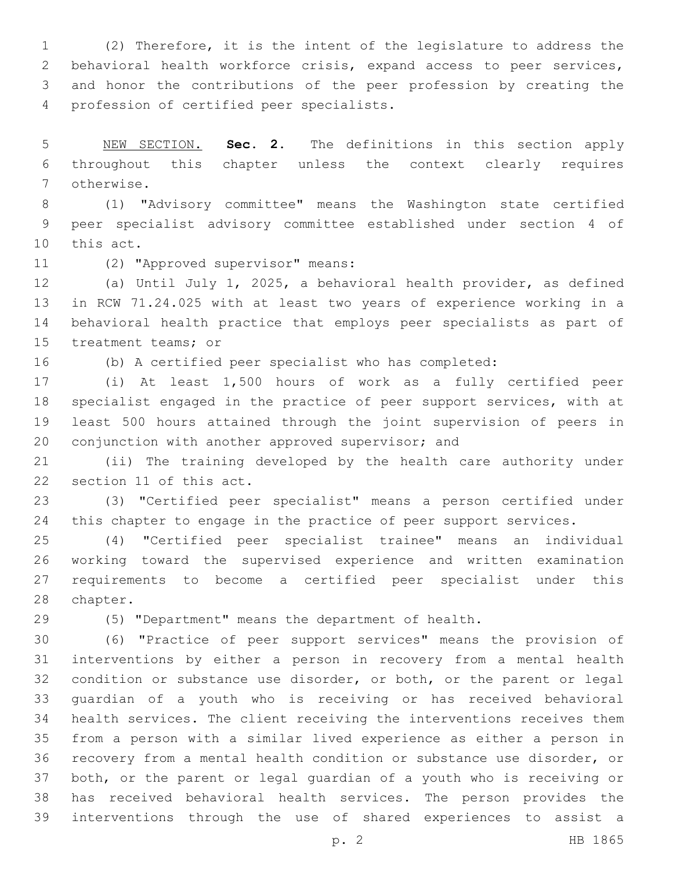(2) Therefore, it is the intent of the legislature to address the behavioral health workforce crisis, expand access to peer services, and honor the contributions of the peer profession by creating the 4 profession of certified peer specialists.

 NEW SECTION. **Sec. 2.** The definitions in this section apply throughout this chapter unless the context clearly requires otherwise.

 (1) "Advisory committee" means the Washington state certified peer specialist advisory committee established under section 4 of 10 this act.

11 (2) "Approved supervisor" means:

 (a) Until July 1, 2025, a behavioral health provider, as defined in RCW 71.24.025 with at least two years of experience working in a behavioral health practice that employs peer specialists as part of 15 treatment teams; or

(b) A certified peer specialist who has completed:

 (i) At least 1,500 hours of work as a fully certified peer specialist engaged in the practice of peer support services, with at least 500 hours attained through the joint supervision of peers in 20 conjunction with another approved supervisor; and

 (ii) The training developed by the health care authority under 22 section 11 of this act.

 (3) "Certified peer specialist" means a person certified under 24 this chapter to engage in the practice of peer support services.

 (4) "Certified peer specialist trainee" means an individual working toward the supervised experience and written examination requirements to become a certified peer specialist under this 28 chapter.

(5) "Department" means the department of health.

 (6) "Practice of peer support services" means the provision of interventions by either a person in recovery from a mental health condition or substance use disorder, or both, or the parent or legal guardian of a youth who is receiving or has received behavioral health services. The client receiving the interventions receives them from a person with a similar lived experience as either a person in recovery from a mental health condition or substance use disorder, or both, or the parent or legal guardian of a youth who is receiving or has received behavioral health services. The person provides the interventions through the use of shared experiences to assist a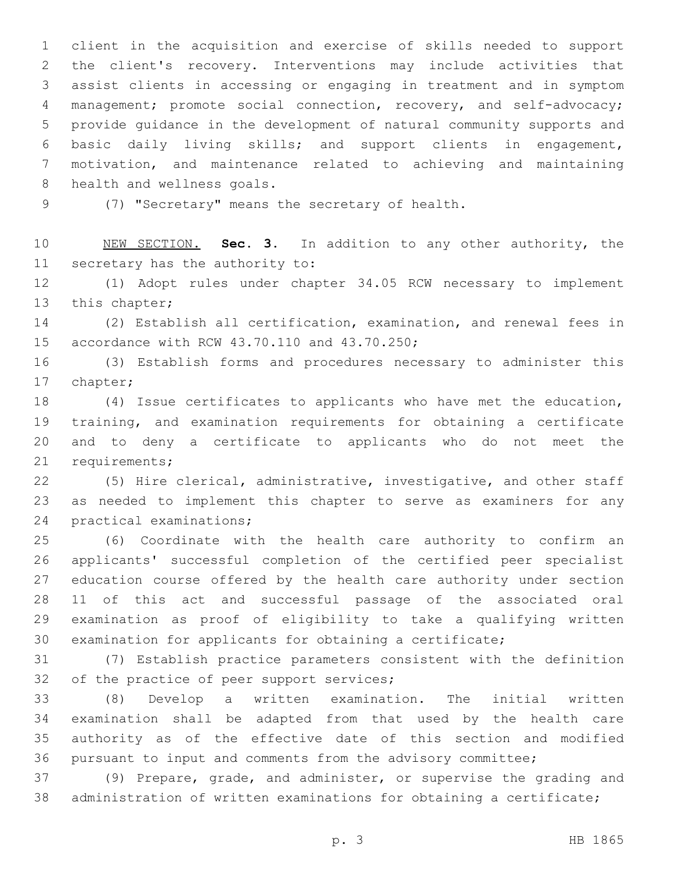client in the acquisition and exercise of skills needed to support the client's recovery. Interventions may include activities that assist clients in accessing or engaging in treatment and in symptom management; promote social connection, recovery, and self-advocacy; provide guidance in the development of natural community supports and basic daily living skills; and support clients in engagement, motivation, and maintenance related to achieving and maintaining 8 health and wellness goals.

9 (7) "Secretary" means the secretary of health.

 NEW SECTION. **Sec. 3.** In addition to any other authority, the secretary has the authority to:

 (1) Adopt rules under chapter 34.05 RCW necessary to implement 13 this chapter;

 (2) Establish all certification, examination, and renewal fees in 15 accordance with RCW 43.70.110 and 43.70.250;

 (3) Establish forms and procedures necessary to administer this 17 chapter;

 (4) Issue certificates to applicants who have met the education, training, and examination requirements for obtaining a certificate and to deny a certificate to applicants who do not meet the 21 requirements;

 (5) Hire clerical, administrative, investigative, and other staff as needed to implement this chapter to serve as examiners for any 24 practical examinations;

 (6) Coordinate with the health care authority to confirm an applicants' successful completion of the certified peer specialist education course offered by the health care authority under section 11 of this act and successful passage of the associated oral examination as proof of eligibility to take a qualifying written examination for applicants for obtaining a certificate;

 (7) Establish practice parameters consistent with the definition 32 of the practice of peer support services;

 (8) Develop a written examination. The initial written examination shall be adapted from that used by the health care authority as of the effective date of this section and modified pursuant to input and comments from the advisory committee;

 (9) Prepare, grade, and administer, or supervise the grading and administration of written examinations for obtaining a certificate;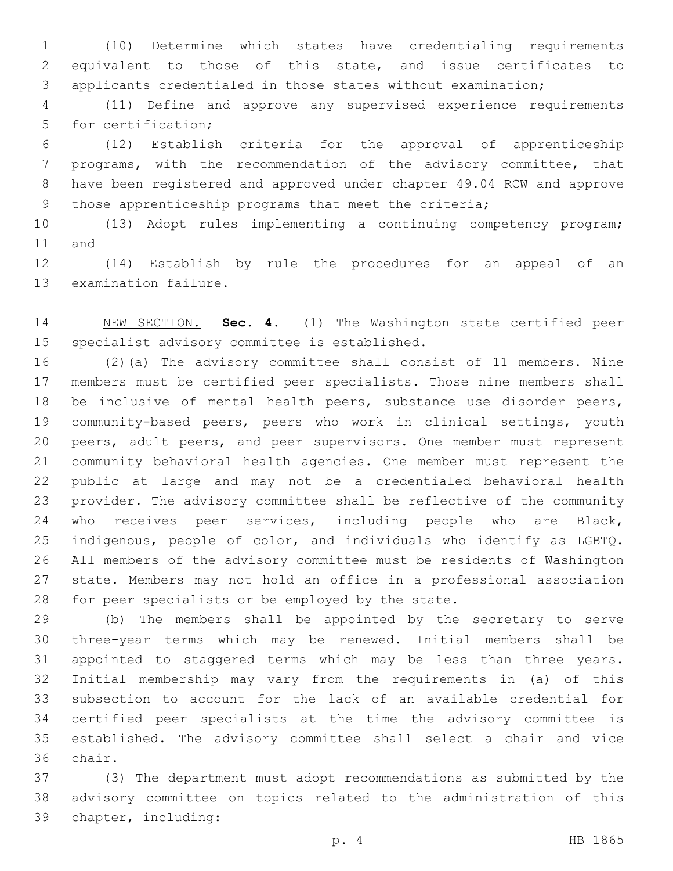(10) Determine which states have credentialing requirements equivalent to those of this state, and issue certificates to applicants credentialed in those states without examination;

 (11) Define and approve any supervised experience requirements 5 for certification;

 (12) Establish criteria for the approval of apprenticeship programs, with the recommendation of the advisory committee, that have been registered and approved under chapter 49.04 RCW and approve those apprenticeship programs that meet the criteria;

 (13) Adopt rules implementing a continuing competency program; 11 and

 (14) Establish by rule the procedures for an appeal of an 13 examination failure.

 NEW SECTION. **Sec. 4.** (1) The Washington state certified peer specialist advisory committee is established.

 (2)(a) The advisory committee shall consist of 11 members. Nine members must be certified peer specialists. Those nine members shall be inclusive of mental health peers, substance use disorder peers, community-based peers, peers who work in clinical settings, youth peers, adult peers, and peer supervisors. One member must represent community behavioral health agencies. One member must represent the public at large and may not be a credentialed behavioral health provider. The advisory committee shall be reflective of the community 24 who receives peer services, including people who are Black, indigenous, people of color, and individuals who identify as LGBTQ. All members of the advisory committee must be residents of Washington state. Members may not hold an office in a professional association 28 for peer specialists or be employed by the state.

 (b) The members shall be appointed by the secretary to serve three-year terms which may be renewed. Initial members shall be appointed to staggered terms which may be less than three years. Initial membership may vary from the requirements in (a) of this subsection to account for the lack of an available credential for certified peer specialists at the time the advisory committee is established. The advisory committee shall select a chair and vice 36 chair.

 (3) The department must adopt recommendations as submitted by the advisory committee on topics related to the administration of this chapter, including:39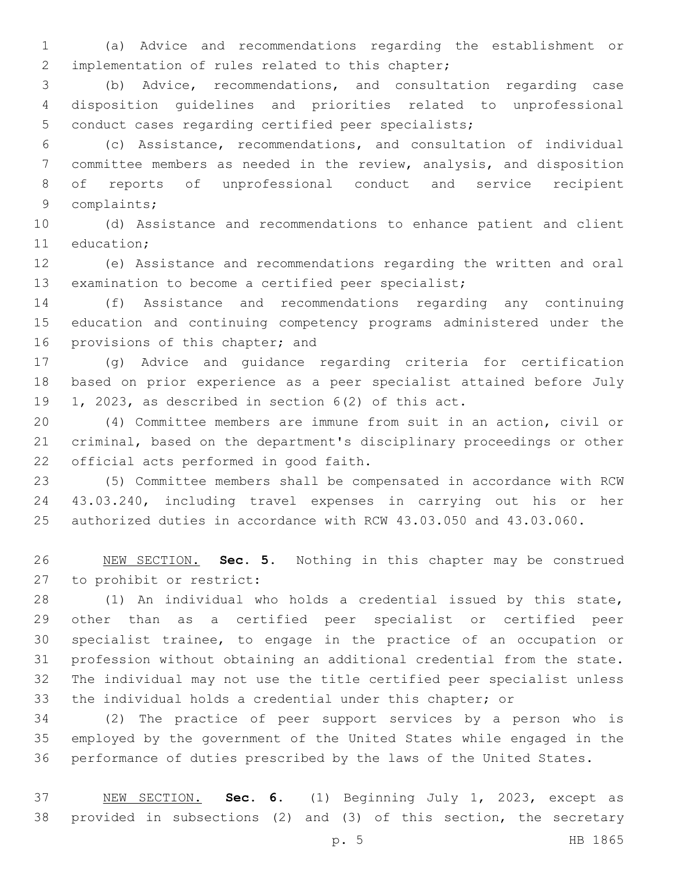(a) Advice and recommendations regarding the establishment or 2 implementation of rules related to this chapter;

 (b) Advice, recommendations, and consultation regarding case disposition guidelines and priorities related to unprofessional conduct cases regarding certified peer specialists;

 (c) Assistance, recommendations, and consultation of individual committee members as needed in the review, analysis, and disposition of reports of unprofessional conduct and service recipient 9 complaints;

 (d) Assistance and recommendations to enhance patient and client 11 education:

 (e) Assistance and recommendations regarding the written and oral examination to become a certified peer specialist;

 (f) Assistance and recommendations regarding any continuing education and continuing competency programs administered under the 16 provisions of this chapter; and

 (g) Advice and guidance regarding criteria for certification based on prior experience as a peer specialist attained before July 1, 2023, as described in section 6(2) of this act.

 (4) Committee members are immune from suit in an action, civil or criminal, based on the department's disciplinary proceedings or other 22 official acts performed in good faith.

 (5) Committee members shall be compensated in accordance with RCW 43.03.240, including travel expenses in carrying out his or her authorized duties in accordance with RCW 43.03.050 and 43.03.060.

 NEW SECTION. **Sec. 5.** Nothing in this chapter may be construed to prohibit or restrict:

 (1) An individual who holds a credential issued by this state, other than as a certified peer specialist or certified peer specialist trainee, to engage in the practice of an occupation or profession without obtaining an additional credential from the state. The individual may not use the title certified peer specialist unless the individual holds a credential under this chapter; or

 (2) The practice of peer support services by a person who is employed by the government of the United States while engaged in the performance of duties prescribed by the laws of the United States.

 NEW SECTION. **Sec. 6.** (1) Beginning July 1, 2023, except as provided in subsections (2) and (3) of this section, the secretary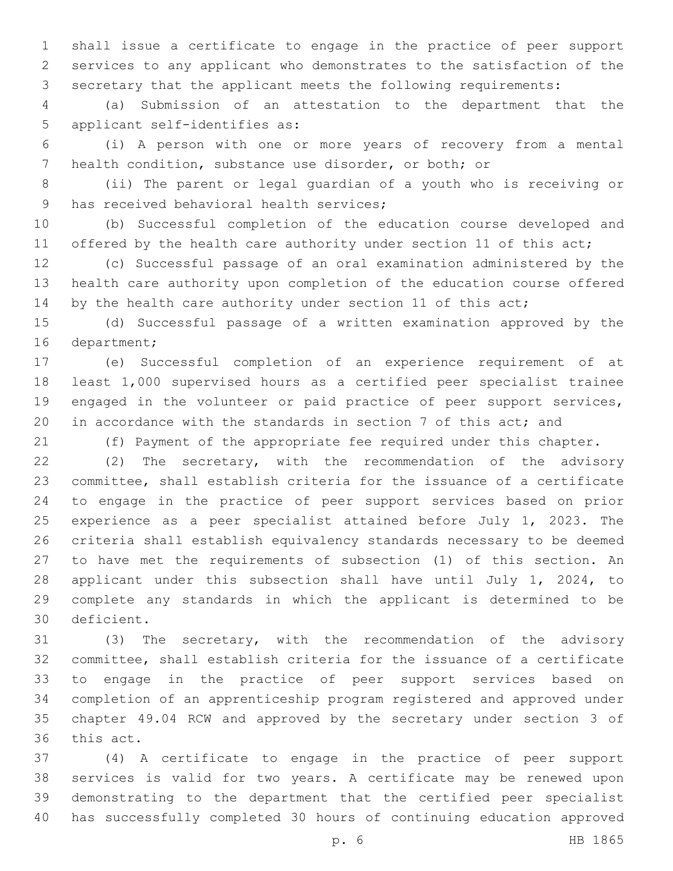shall issue a certificate to engage in the practice of peer support services to any applicant who demonstrates to the satisfaction of the secretary that the applicant meets the following requirements:

 (a) Submission of an attestation to the department that the 5 applicant self-identifies as:

 (i) A person with one or more years of recovery from a mental health condition, substance use disorder, or both; or

 (ii) The parent or legal guardian of a youth who is receiving or 9 has received behavioral health services;

 (b) Successful completion of the education course developed and 11 offered by the health care authority under section 11 of this act;

 (c) Successful passage of an oral examination administered by the health care authority upon completion of the education course offered 14 by the health care authority under section 11 of this act;

 (d) Successful passage of a written examination approved by the 16 department;

 (e) Successful completion of an experience requirement of at least 1,000 supervised hours as a certified peer specialist trainee engaged in the volunteer or paid practice of peer support services, 20 in accordance with the standards in section 7 of this act; and

(f) Payment of the appropriate fee required under this chapter.

 (2) The secretary, with the recommendation of the advisory committee, shall establish criteria for the issuance of a certificate to engage in the practice of peer support services based on prior experience as a peer specialist attained before July 1, 2023. The criteria shall establish equivalency standards necessary to be deemed to have met the requirements of subsection (1) of this section. An applicant under this subsection shall have until July 1, 2024, to complete any standards in which the applicant is determined to be deficient.30

 (3) The secretary, with the recommendation of the advisory committee, shall establish criteria for the issuance of a certificate to engage in the practice of peer support services based on completion of an apprenticeship program registered and approved under chapter 49.04 RCW and approved by the secretary under section 3 of 36 this act.

 (4) A certificate to engage in the practice of peer support services is valid for two years. A certificate may be renewed upon demonstrating to the department that the certified peer specialist has successfully completed 30 hours of continuing education approved

p. 6 HB 1865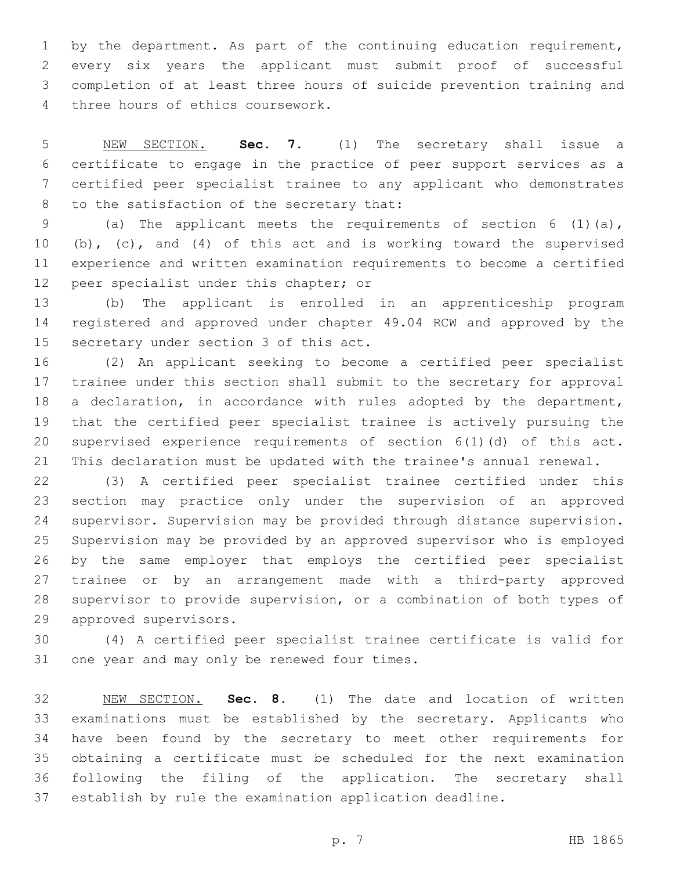1 by the department. As part of the continuing education requirement, every six years the applicant must submit proof of successful completion of at least three hours of suicide prevention training and 4 three hours of ethics coursework.

 NEW SECTION. **Sec. 7.** (1) The secretary shall issue a certificate to engage in the practice of peer support services as a certified peer specialist trainee to any applicant who demonstrates to the satisfaction of the secretary that:

 (a) The applicant meets the requirements of section 6 (1)(a), (b), (c), and (4) of this act and is working toward the supervised experience and written examination requirements to become a certified 12 peer specialist under this chapter; or

 (b) The applicant is enrolled in an apprenticeship program registered and approved under chapter 49.04 RCW and approved by the 15 secretary under section 3 of this act.

 (2) An applicant seeking to become a certified peer specialist trainee under this section shall submit to the secretary for approval a declaration, in accordance with rules adopted by the department, that the certified peer specialist trainee is actively pursuing the supervised experience requirements of section 6(1)(d) of this act. This declaration must be updated with the trainee's annual renewal.

 (3) A certified peer specialist trainee certified under this section may practice only under the supervision of an approved supervisor. Supervision may be provided through distance supervision. Supervision may be provided by an approved supervisor who is employed by the same employer that employs the certified peer specialist trainee or by an arrangement made with a third-party approved supervisor to provide supervision, or a combination of both types of 29 approved supervisors.

 (4) A certified peer specialist trainee certificate is valid for 31 one year and may only be renewed four times.

 NEW SECTION. **Sec. 8.** (1) The date and location of written examinations must be established by the secretary. Applicants who have been found by the secretary to meet other requirements for obtaining a certificate must be scheduled for the next examination following the filing of the application. The secretary shall establish by rule the examination application deadline.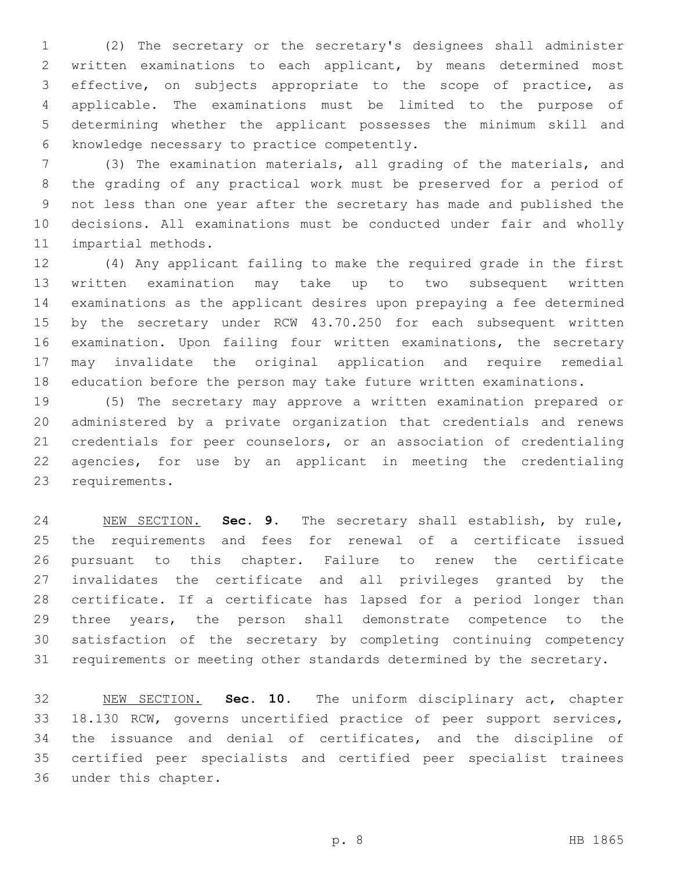(2) The secretary or the secretary's designees shall administer written examinations to each applicant, by means determined most effective, on subjects appropriate to the scope of practice, as applicable. The examinations must be limited to the purpose of determining whether the applicant possesses the minimum skill and 6 knowledge necessary to practice competently.

 (3) The examination materials, all grading of the materials, and the grading of any practical work must be preserved for a period of not less than one year after the secretary has made and published the decisions. All examinations must be conducted under fair and wholly 11 impartial methods.

 (4) Any applicant failing to make the required grade in the first written examination may take up to two subsequent written examinations as the applicant desires upon prepaying a fee determined by the secretary under RCW 43.70.250 for each subsequent written examination. Upon failing four written examinations, the secretary may invalidate the original application and require remedial education before the person may take future written examinations.

 (5) The secretary may approve a written examination prepared or administered by a private organization that credentials and renews credentials for peer counselors, or an association of credentialing agencies, for use by an applicant in meeting the credentialing 23 requirements.

 NEW SECTION. **Sec. 9.** The secretary shall establish, by rule, the requirements and fees for renewal of a certificate issued pursuant to this chapter. Failure to renew the certificate invalidates the certificate and all privileges granted by the certificate. If a certificate has lapsed for a period longer than 29 three years, the person shall demonstrate competence to the satisfaction of the secretary by completing continuing competency requirements or meeting other standards determined by the secretary.

 NEW SECTION. **Sec. 10.** The uniform disciplinary act, chapter 18.130 RCW, governs uncertified practice of peer support services, the issuance and denial of certificates, and the discipline of certified peer specialists and certified peer specialist trainees under this chapter.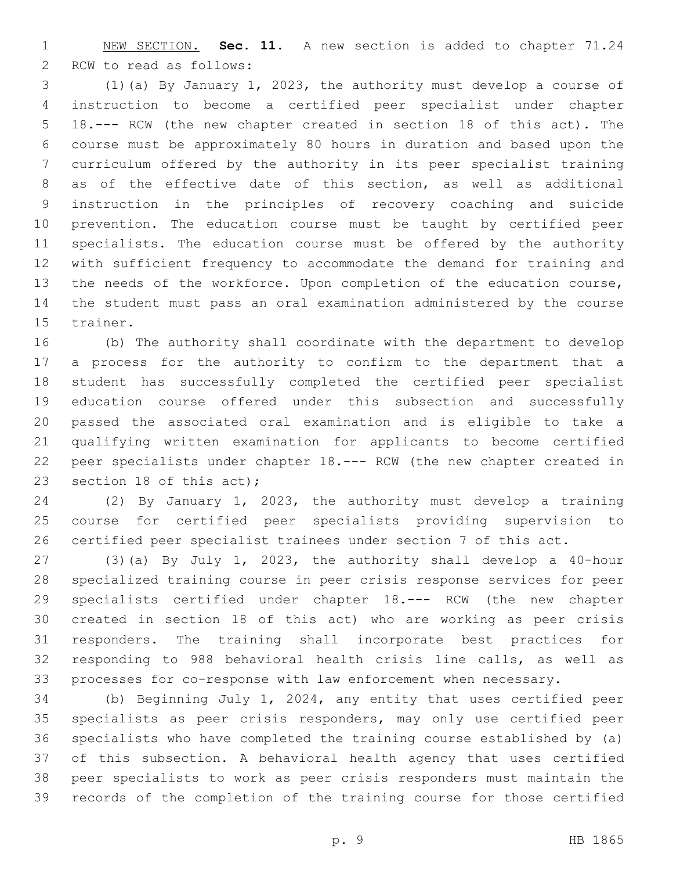NEW SECTION. **Sec. 11.** A new section is added to chapter 71.24 2 RCW to read as follows:

 (1)(a) By January 1, 2023, the authority must develop a course of instruction to become a certified peer specialist under chapter 18.--- RCW (the new chapter created in section 18 of this act). The course must be approximately 80 hours in duration and based upon the curriculum offered by the authority in its peer specialist training as of the effective date of this section, as well as additional instruction in the principles of recovery coaching and suicide prevention. The education course must be taught by certified peer specialists. The education course must be offered by the authority with sufficient frequency to accommodate the demand for training and the needs of the workforce. Upon completion of the education course, the student must pass an oral examination administered by the course 15 trainer.

 (b) The authority shall coordinate with the department to develop a process for the authority to confirm to the department that a student has successfully completed the certified peer specialist education course offered under this subsection and successfully passed the associated oral examination and is eligible to take a qualifying written examination for applicants to become certified peer specialists under chapter 18.--- RCW (the new chapter created in 23 section 18 of this act);

 (2) By January 1, 2023, the authority must develop a training course for certified peer specialists providing supervision to certified peer specialist trainees under section 7 of this act.

 (3)(a) By July 1, 2023, the authority shall develop a 40-hour specialized training course in peer crisis response services for peer specialists certified under chapter 18.--- RCW (the new chapter created in section 18 of this act) who are working as peer crisis responders. The training shall incorporate best practices for responding to 988 behavioral health crisis line calls, as well as processes for co-response with law enforcement when necessary.

 (b) Beginning July 1, 2024, any entity that uses certified peer specialists as peer crisis responders, may only use certified peer specialists who have completed the training course established by (a) of this subsection. A behavioral health agency that uses certified peer specialists to work as peer crisis responders must maintain the records of the completion of the training course for those certified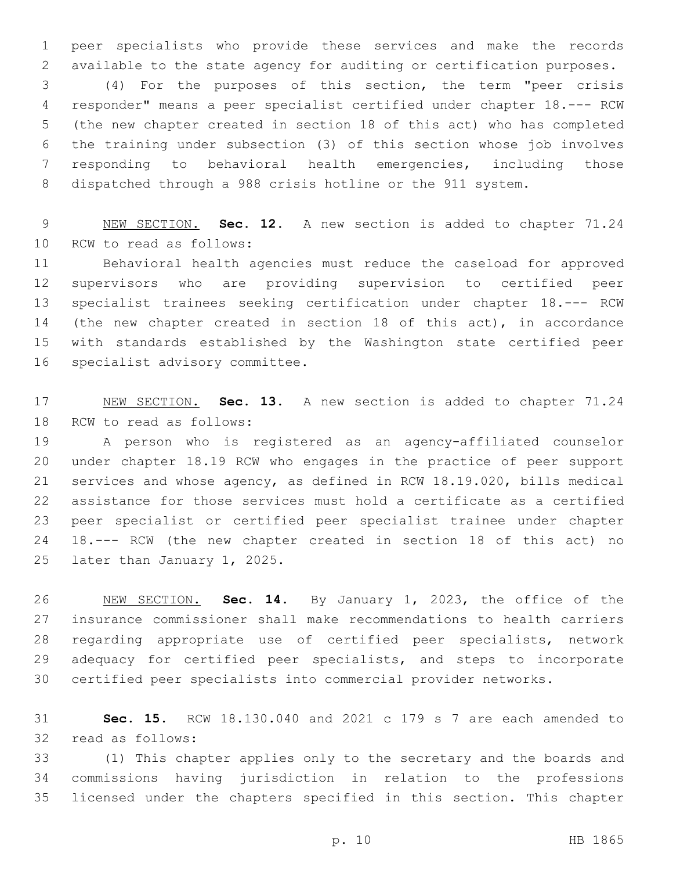peer specialists who provide these services and make the records available to the state agency for auditing or certification purposes.

 (4) For the purposes of this section, the term "peer crisis responder" means a peer specialist certified under chapter 18.--- RCW (the new chapter created in section 18 of this act) who has completed the training under subsection (3) of this section whose job involves responding to behavioral health emergencies, including those dispatched through a 988 crisis hotline or the 911 system.

 NEW SECTION. **Sec. 12.** A new section is added to chapter 71.24 10 RCW to read as follows:

 Behavioral health agencies must reduce the caseload for approved supervisors who are providing supervision to certified peer specialist trainees seeking certification under chapter 18.--- RCW (the new chapter created in section 18 of this act), in accordance with standards established by the Washington state certified peer 16 specialist advisory committee.

 NEW SECTION. **Sec. 13.** A new section is added to chapter 71.24 18 RCW to read as follows:

 A person who is registered as an agency-affiliated counselor under chapter 18.19 RCW who engages in the practice of peer support services and whose agency, as defined in RCW 18.19.020, bills medical assistance for those services must hold a certificate as a certified peer specialist or certified peer specialist trainee under chapter 18.--- RCW (the new chapter created in section 18 of this act) no 25 later than January 1, 2025.

 NEW SECTION. **Sec. 14.** By January 1, 2023, the office of the insurance commissioner shall make recommendations to health carriers regarding appropriate use of certified peer specialists, network adequacy for certified peer specialists, and steps to incorporate certified peer specialists into commercial provider networks.

 **Sec. 15.** RCW 18.130.040 and 2021 c 179 s 7 are each amended to 32 read as follows:

 (1) This chapter applies only to the secretary and the boards and commissions having jurisdiction in relation to the professions licensed under the chapters specified in this section. This chapter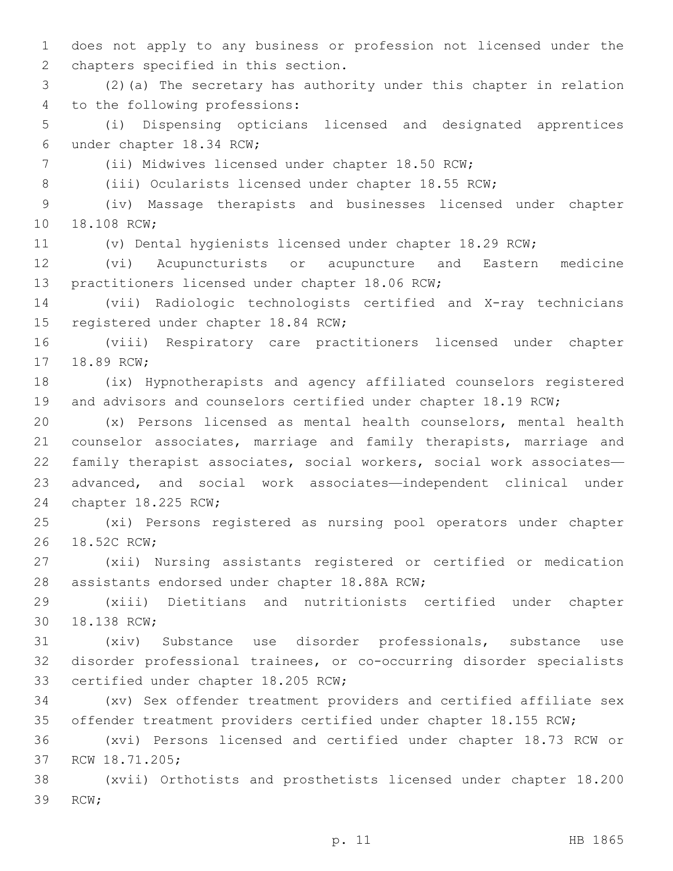1 does not apply to any business or profession not licensed under the 2 chapters specified in this section.

3 (2)(a) The secretary has authority under this chapter in relation 4 to the following professions:

5 (i) Dispensing opticians licensed and designated apprentices 6 under chapter 18.34 RCW;

7 (ii) Midwives licensed under chapter 18.50 RCW;

8 (iii) Ocularists licensed under chapter 18.55 RCW;

9 (iv) Massage therapists and businesses licensed under chapter 10 18.108 RCW;

11 (v) Dental hygienists licensed under chapter 18.29 RCW;

12 (vi) Acupuncturists or acupuncture and Eastern medicine 13 practitioners licensed under chapter 18.06 RCW;

14 (vii) Radiologic technologists certified and X-ray technicians 15 registered under chapter 18.84 RCW;

16 (viii) Respiratory care practitioners licensed under chapter 17 18.89 RCW;

18 (ix) Hypnotherapists and agency affiliated counselors registered 19 and advisors and counselors certified under chapter 18.19 RCW;

 (x) Persons licensed as mental health counselors, mental health counselor associates, marriage and family therapists, marriage and family therapist associates, social workers, social work associates— advanced, and social work associates—independent clinical under 24 chapter 18.225 RCW;

25 (xi) Persons registered as nursing pool operators under chapter 26 18.52C RCW;

27 (xii) Nursing assistants registered or certified or medication 28 assistants endorsed under chapter 18.88A RCW;

29 (xiii) Dietitians and nutritionists certified under chapter 30 18.138 RCW;

31 (xiv) Substance use disorder professionals, substance use 32 disorder professional trainees, or co-occurring disorder specialists 33 certified under chapter 18.205 RCW;

34 (xv) Sex offender treatment providers and certified affiliate sex 35 offender treatment providers certified under chapter 18.155 RCW;

36 (xvi) Persons licensed and certified under chapter 18.73 RCW or 37 RCW 18.71.205;

38 (xvii) Orthotists and prosthetists licensed under chapter 18.200 39 RCW;

p. 11 HB 1865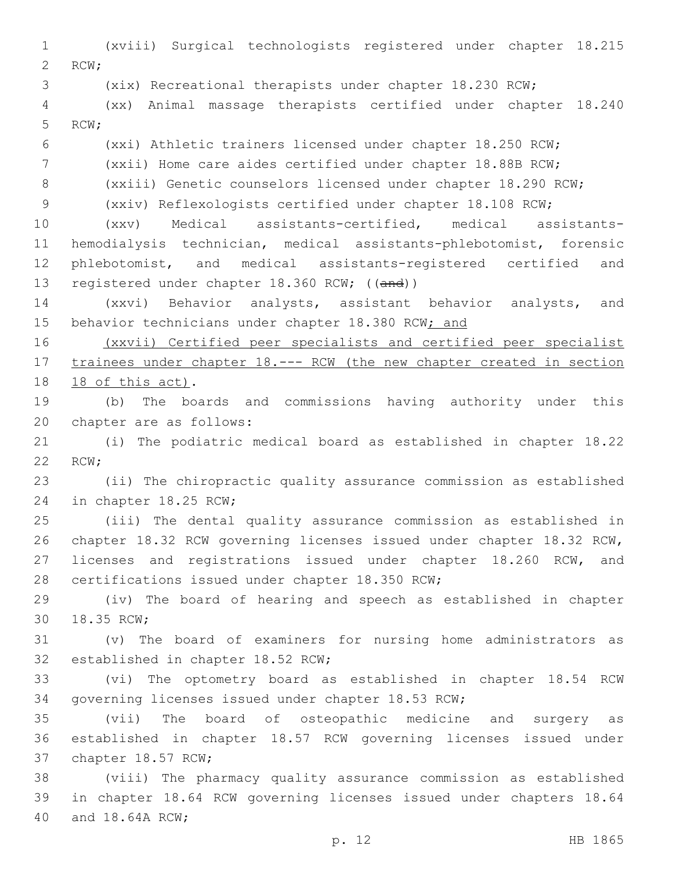(xviii) Surgical technologists registered under chapter 18.215 2 RCW; (xix) Recreational therapists under chapter 18.230 RCW; (xx) Animal massage therapists certified under chapter 18.240 5 RCW; (xxi) Athletic trainers licensed under chapter 18.250 RCW; (xxii) Home care aides certified under chapter 18.88B RCW; (xxiii) Genetic counselors licensed under chapter 18.290 RCW; (xxiv) Reflexologists certified under chapter 18.108 RCW; (xxv) Medical assistants-certified, medical assistants- hemodialysis technician, medical assistants-phlebotomist, forensic phlebotomist, and medical assistants-registered certified and 13 registered under chapter 18.360 RCW; ((and)) (xxvi) Behavior analysts, assistant behavior analysts, and 15 behavior technicians under chapter 18.380 RCW; and (xxvii) Certified peer specialists and certified peer specialist 17 trainees under chapter 18. --- RCW (the new chapter created in section 18 18 of this act). (b) The boards and commissions having authority under this 20 chapter are as follows: (i) The podiatric medical board as established in chapter 18.22 22 RCW; (ii) The chiropractic quality assurance commission as established 24 in chapter 18.25 RCW; (iii) The dental quality assurance commission as established in chapter 18.32 RCW governing licenses issued under chapter 18.32 RCW, licenses and registrations issued under chapter 18.260 RCW, and 28 certifications issued under chapter 18.350 RCW; (iv) The board of hearing and speech as established in chapter 30 18.35 RCW; (v) The board of examiners for nursing home administrators as 32 established in chapter 18.52 RCW; (vi) The optometry board as established in chapter 18.54 RCW governing licenses issued under chapter 18.53 RCW; (vii) The board of osteopathic medicine and surgery as established in chapter 18.57 RCW governing licenses issued under 37 chapter 18.57 RCW; (viii) The pharmacy quality assurance commission as established in chapter 18.64 RCW governing licenses issued under chapters 18.64 40 and 18.64A RCW;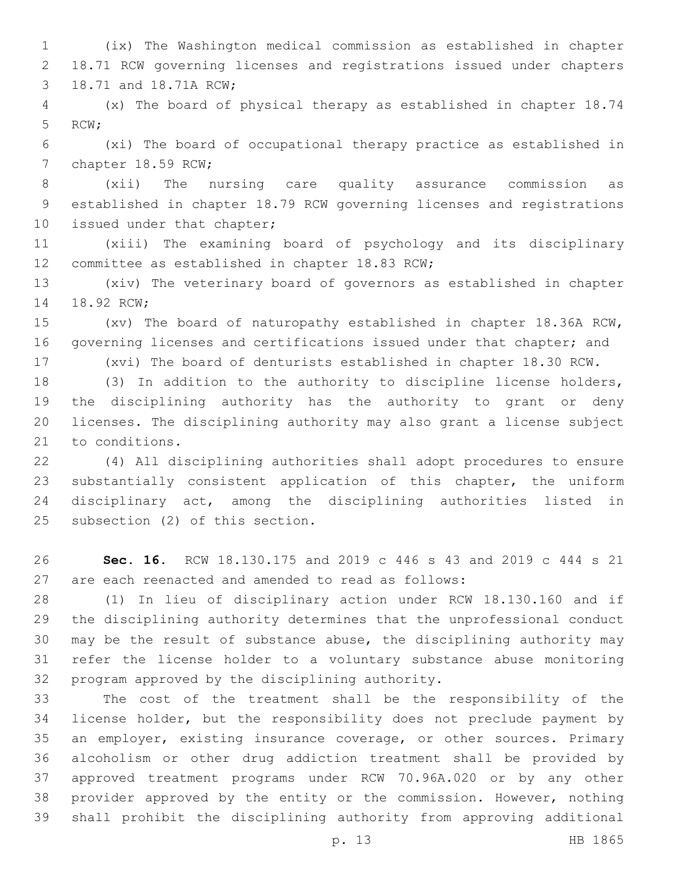(ix) The Washington medical commission as established in chapter 18.71 RCW governing licenses and registrations issued under chapters 3 18.71 and 18.71A RCW;

 (x) The board of physical therapy as established in chapter 18.74 5 RCW;

 (xi) The board of occupational therapy practice as established in 7 chapter 18.59 RCW;

 (xii) The nursing care quality assurance commission as established in chapter 18.79 RCW governing licenses and registrations 10 issued under that chapter;

 (xiii) The examining board of psychology and its disciplinary 12 committee as established in chapter 18.83 RCW;

 (xiv) The veterinary board of governors as established in chapter 14 18.92 RCW;

 (xv) The board of naturopathy established in chapter 18.36A RCW, governing licenses and certifications issued under that chapter; and

(xvi) The board of denturists established in chapter 18.30 RCW.

 (3) In addition to the authority to discipline license holders, the disciplining authority has the authority to grant or deny licenses. The disciplining authority may also grant a license subject 21 to conditions.

 (4) All disciplining authorities shall adopt procedures to ensure substantially consistent application of this chapter, the uniform disciplinary act, among the disciplining authorities listed in 25 subsection (2) of this section.

 **Sec. 16.** RCW 18.130.175 and 2019 c 446 s 43 and 2019 c 444 s 21 are each reenacted and amended to read as follows:

 (1) In lieu of disciplinary action under RCW 18.130.160 and if the disciplining authority determines that the unprofessional conduct may be the result of substance abuse, the disciplining authority may refer the license holder to a voluntary substance abuse monitoring 32 program approved by the disciplining authority.

 The cost of the treatment shall be the responsibility of the license holder, but the responsibility does not preclude payment by an employer, existing insurance coverage, or other sources. Primary alcoholism or other drug addiction treatment shall be provided by approved treatment programs under RCW 70.96A.020 or by any other provider approved by the entity or the commission. However, nothing shall prohibit the disciplining authority from approving additional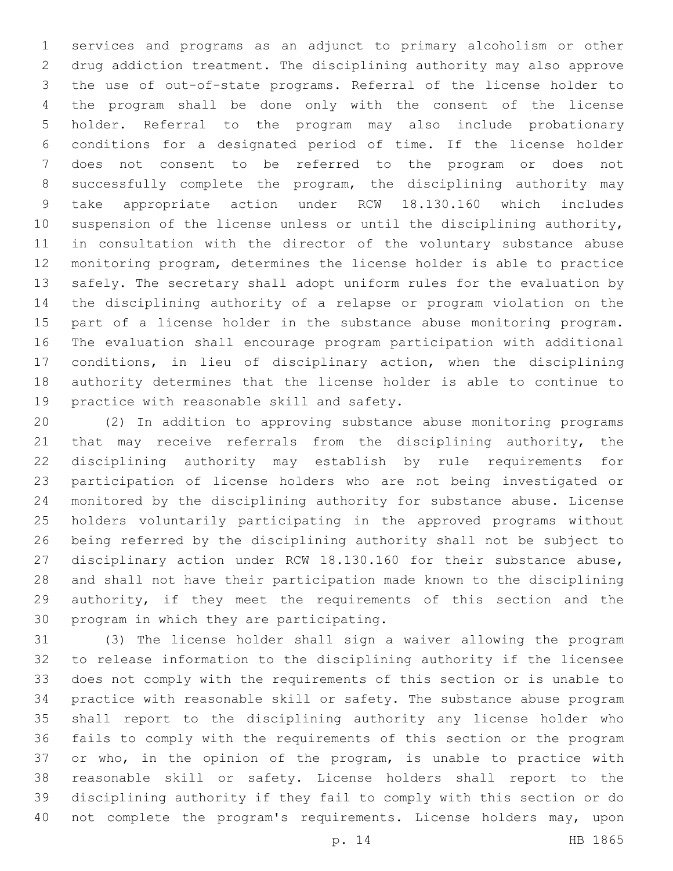services and programs as an adjunct to primary alcoholism or other drug addiction treatment. The disciplining authority may also approve the use of out-of-state programs. Referral of the license holder to the program shall be done only with the consent of the license holder. Referral to the program may also include probationary conditions for a designated period of time. If the license holder does not consent to be referred to the program or does not successfully complete the program, the disciplining authority may take appropriate action under RCW 18.130.160 which includes suspension of the license unless or until the disciplining authority, in consultation with the director of the voluntary substance abuse monitoring program, determines the license holder is able to practice safely. The secretary shall adopt uniform rules for the evaluation by the disciplining authority of a relapse or program violation on the part of a license holder in the substance abuse monitoring program. The evaluation shall encourage program participation with additional conditions, in lieu of disciplinary action, when the disciplining authority determines that the license holder is able to continue to 19 practice with reasonable skill and safety.

 (2) In addition to approving substance abuse monitoring programs 21 that may receive referrals from the disciplining authority, the disciplining authority may establish by rule requirements for participation of license holders who are not being investigated or monitored by the disciplining authority for substance abuse. License holders voluntarily participating in the approved programs without being referred by the disciplining authority shall not be subject to disciplinary action under RCW 18.130.160 for their substance abuse, and shall not have their participation made known to the disciplining authority, if they meet the requirements of this section and the 30 program in which they are participating.

 (3) The license holder shall sign a waiver allowing the program to release information to the disciplining authority if the licensee does not comply with the requirements of this section or is unable to practice with reasonable skill or safety. The substance abuse program shall report to the disciplining authority any license holder who fails to comply with the requirements of this section or the program or who, in the opinion of the program, is unable to practice with reasonable skill or safety. License holders shall report to the disciplining authority if they fail to comply with this section or do not complete the program's requirements. License holders may, upon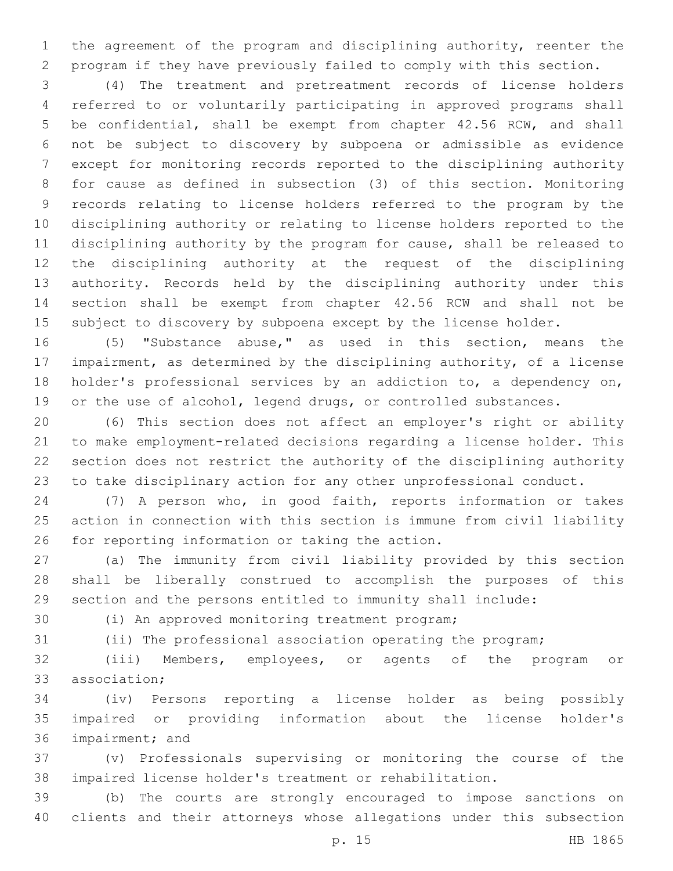the agreement of the program and disciplining authority, reenter the program if they have previously failed to comply with this section.

 (4) The treatment and pretreatment records of license holders referred to or voluntarily participating in approved programs shall be confidential, shall be exempt from chapter 42.56 RCW, and shall not be subject to discovery by subpoena or admissible as evidence except for monitoring records reported to the disciplining authority for cause as defined in subsection (3) of this section. Monitoring records relating to license holders referred to the program by the disciplining authority or relating to license holders reported to the disciplining authority by the program for cause, shall be released to the disciplining authority at the request of the disciplining authority. Records held by the disciplining authority under this section shall be exempt from chapter 42.56 RCW and shall not be 15 subject to discovery by subpoena except by the license holder.

 (5) "Substance abuse," as used in this section, means the impairment, as determined by the disciplining authority, of a license holder's professional services by an addiction to, a dependency on, or the use of alcohol, legend drugs, or controlled substances.

 (6) This section does not affect an employer's right or ability to make employment-related decisions regarding a license holder. This section does not restrict the authority of the disciplining authority to take disciplinary action for any other unprofessional conduct.

 (7) A person who, in good faith, reports information or takes action in connection with this section is immune from civil liability 26 for reporting information or taking the action.

 (a) The immunity from civil liability provided by this section shall be liberally construed to accomplish the purposes of this section and the persons entitled to immunity shall include:

30 (i) An approved monitoring treatment program;

(ii) The professional association operating the program;

 (iii) Members, employees, or agents of the program or 33 association:

 (iv) Persons reporting a license holder as being possibly impaired or providing information about the license holder's 36 impairment; and

 (v) Professionals supervising or monitoring the course of the impaired license holder's treatment or rehabilitation.

 (b) The courts are strongly encouraged to impose sanctions on clients and their attorneys whose allegations under this subsection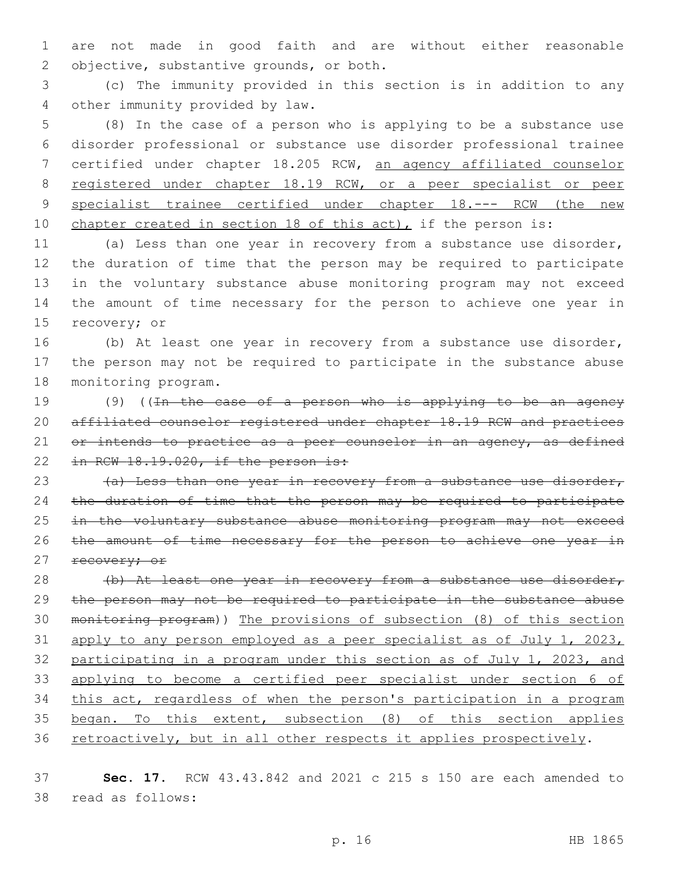1 are not made in good faith and are without either reasonable 2 objective, substantive grounds, or both.

3 (c) The immunity provided in this section is in addition to any other immunity provided by law.4

 (8) In the case of a person who is applying to be a substance use disorder professional or substance use disorder professional trainee certified under chapter 18.205 RCW, an agency affiliated counselor registered under chapter 18.19 RCW, or a peer specialist or peer 9 specialist trainee certified under chapter 18.--- RCW (the new 10 chapter created in section 18 of this act), if the person is:

 (a) Less than one year in recovery from a substance use disorder, the duration of time that the person may be required to participate in the voluntary substance abuse monitoring program may not exceed the amount of time necessary for the person to achieve one year in 15 recovery; or

16 (b) At least one year in recovery from a substance use disorder, 17 the person may not be required to participate in the substance abuse 18 monitoring program.

19 (9) ((In the case of a person who is applying to be an agency 20 affiliated counselor registered under chapter 18.19 RCW and practices 21 or intends to practice as a peer counselor in an agency, as defined 22 in RCW 18.19.020, if the person is:

23  $(a)$  Less than one year in recovery from a substance use disorder, 24 the duration of time that the person may be required to participate 25 in the voluntary substance abuse monitoring program may not exceed 26 the amount of time necessary for the person to achieve one year in 27 recovery; or

28 (b) At least one year in recovery from a substance use disorder, the person may not be required to participate in the substance abuse monitoring program)) The provisions of subsection (8) of this section 31 apply to any person employed as a peer specialist as of July 1, 2023, participating in a program under this section as of July 1, 2023, and applying to become a certified peer specialist under section 6 of this act, regardless of when the person's participation in a program began. To this extent, subsection (8) of this section applies 36 retroactively, but in all other respects it applies prospectively.

37 **Sec. 17.** RCW 43.43.842 and 2021 c 215 s 150 are each amended to 38 read as follows: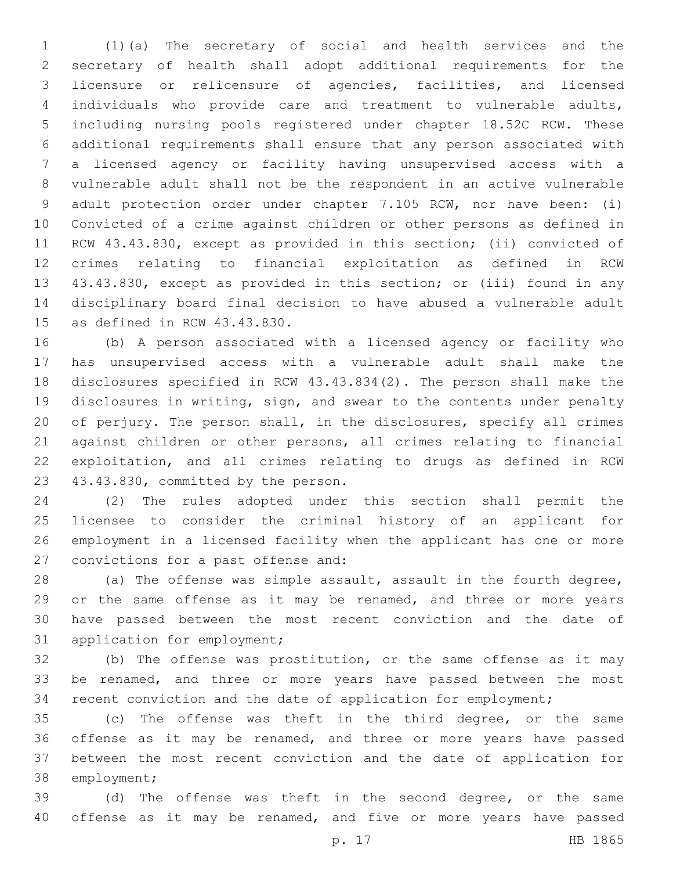(1)(a) The secretary of social and health services and the secretary of health shall adopt additional requirements for the licensure or relicensure of agencies, facilities, and licensed individuals who provide care and treatment to vulnerable adults, including nursing pools registered under chapter 18.52C RCW. These additional requirements shall ensure that any person associated with a licensed agency or facility having unsupervised access with a vulnerable adult shall not be the respondent in an active vulnerable adult protection order under chapter 7.105 RCW, nor have been: (i) Convicted of a crime against children or other persons as defined in RCW 43.43.830, except as provided in this section; (ii) convicted of crimes relating to financial exploitation as defined in RCW 43.43.830, except as provided in this section; or (iii) found in any disciplinary board final decision to have abused a vulnerable adult 15 as defined in RCW  $43.43.830$ .

 (b) A person associated with a licensed agency or facility who has unsupervised access with a vulnerable adult shall make the disclosures specified in RCW 43.43.834(2). The person shall make the disclosures in writing, sign, and swear to the contents under penalty of perjury. The person shall, in the disclosures, specify all crimes against children or other persons, all crimes relating to financial exploitation, and all crimes relating to drugs as defined in RCW 23 43.43.830, committed by the person.

 (2) The rules adopted under this section shall permit the licensee to consider the criminal history of an applicant for employment in a licensed facility when the applicant has one or more 27 convictions for a past offense and:

 (a) The offense was simple assault, assault in the fourth degree, 29 or the same offense as it may be renamed, and three or more years have passed between the most recent conviction and the date of 31 application for employment;

 (b) The offense was prostitution, or the same offense as it may 33 be renamed, and three or more years have passed between the most recent conviction and the date of application for employment;

 (c) The offense was theft in the third degree, or the same offense as it may be renamed, and three or more years have passed between the most recent conviction and the date of application for 38 employment;

 (d) The offense was theft in the second degree, or the same 40 offense as it may be renamed, and five or more years have passed

p. 17 HB 1865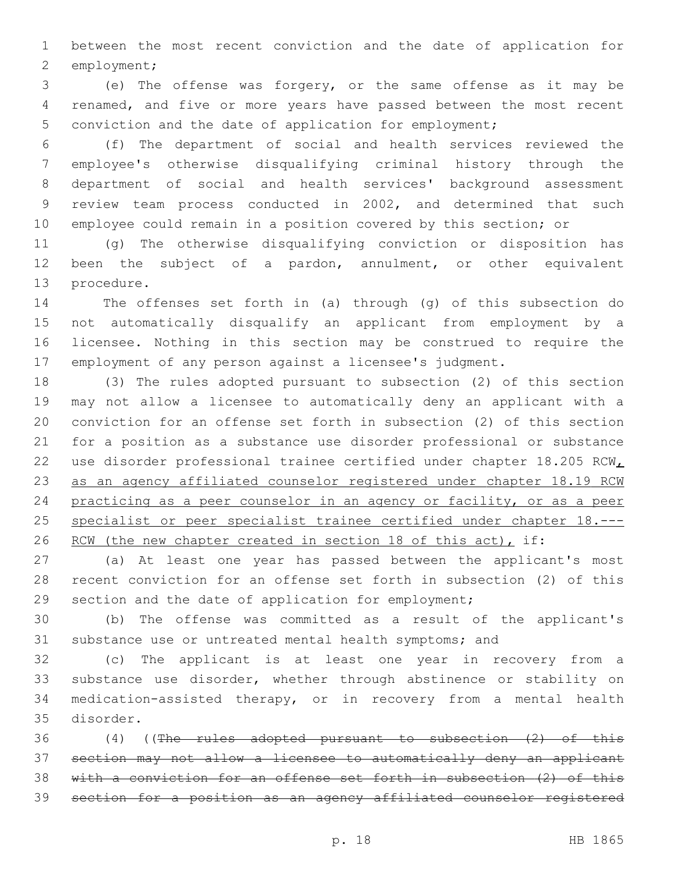between the most recent conviction and the date of application for 2 employment;

 (e) The offense was forgery, or the same offense as it may be renamed, and five or more years have passed between the most recent conviction and the date of application for employment;

 (f) The department of social and health services reviewed the employee's otherwise disqualifying criminal history through the department of social and health services' background assessment review team process conducted in 2002, and determined that such employee could remain in a position covered by this section; or

 (g) The otherwise disqualifying conviction or disposition has been the subject of a pardon, annulment, or other equivalent 13 procedure.

 The offenses set forth in (a) through (g) of this subsection do not automatically disqualify an applicant from employment by a licensee. Nothing in this section may be construed to require the employment of any person against a licensee's judgment.

 (3) The rules adopted pursuant to subsection (2) of this section may not allow a licensee to automatically deny an applicant with a conviction for an offense set forth in subsection (2) of this section for a position as a substance use disorder professional or substance 22 use disorder professional trainee certified under chapter 18.205 RCW as an agency affiliated counselor registered under chapter 18.19 RCW practicing as a peer counselor in an agency or facility, or as a peer specialist or peer specialist trainee certified under chapter 18.--- 26 RCW (the new chapter created in section 18 of this act), if:

 (a) At least one year has passed between the applicant's most recent conviction for an offense set forth in subsection (2) of this section and the date of application for employment;

 (b) The offense was committed as a result of the applicant's substance use or untreated mental health symptoms; and

 (c) The applicant is at least one year in recovery from a substance use disorder, whether through abstinence or stability on medication-assisted therapy, or in recovery from a mental health 35 disorder.

 (4) ((The rules adopted pursuant to subsection (2) of this section may not allow a licensee to automatically deny an applicant with a conviction for an offense set forth in subsection (2) of this section for a position as an agency affiliated counselor registered